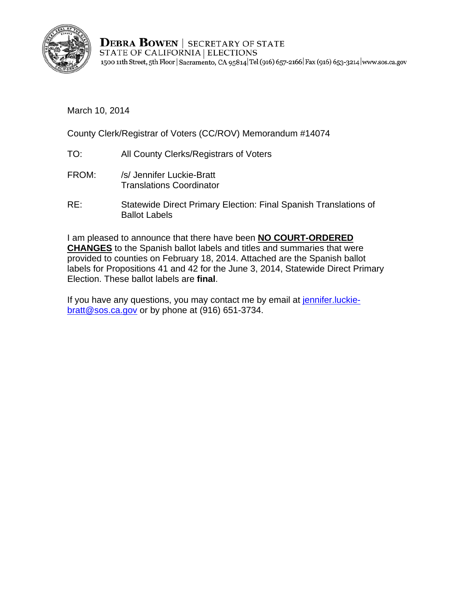

**DEBRA BOWEN | SECRETARY OF STATE** STATE OF CALIFORNIA | ELECTIONS 1500 11th Street, 5th Floor | Sacramento, CA 95814 Tel (916) 657-2166 | Fax (916) 653-3214 | www.sos.ca.gov

March 10, 2014

County Clerk/Registrar of Voters (CC/ROV) Memorandum #14074

- TO: All County Clerks/Registrars of Voters
- FROM: /s/ Jennifer Luckie-Bratt Translations Coordinator
- RE: Statewide Direct Primary Election: Final Spanish Translations of Ballot Labels

I am pleased to announce that there have been **NO COURT-ORDERED CHANGES** to the Spanish ballot labels and titles and summaries that were provided to counties on February 18, 2014. Attached are the Spanish ballot labels for Propositions 41 and 42 for the June 3, 2014, Statewide Direct Primary Election. These ballot labels are **final**.

If you have any questions, you may contact me by email at jennifer. luckiebratt@sos.ca.gov or by phone at (916) 651-3734.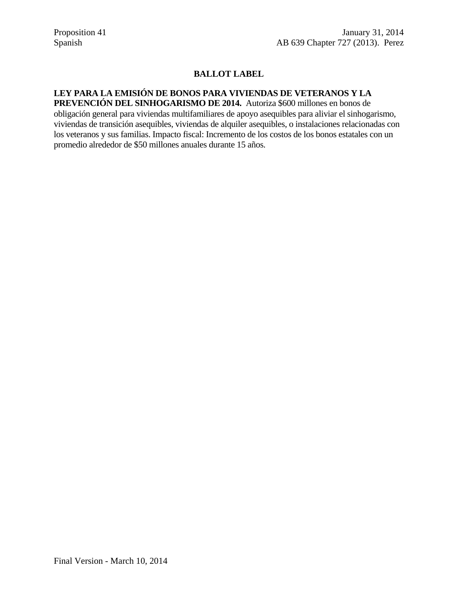## **BALLOT LABEL**

## **LEY PARA LA EMISIÓN DE BONOS PARA VIVIENDAS DE VETERANOS Y LA PREVENCIÓN DEL SINHOGARISMO DE 2014.** Autoriza \$600 millones en bonos de

obligación general para viviendas multifamiliares de apoyo asequibles para aliviar el sinhogarismo, viviendas de transición asequibles, viviendas de alquiler asequibles, o instalaciones relacionadas con los veteranos y sus familias. Impacto fiscal: Incremento de los costos de los bonos estatales con un promedio alrededor de \$50 millones anuales durante 15 años.